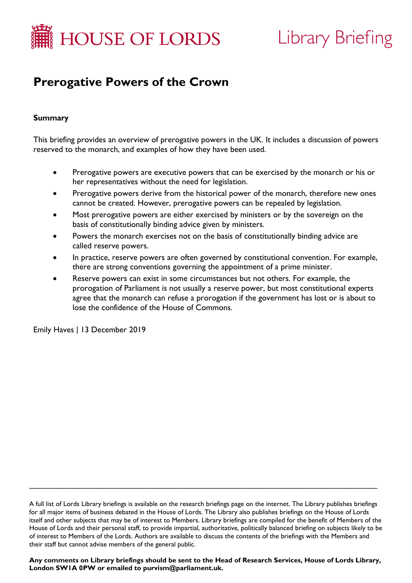

# Library Briefing

# **Prerogative Powers of the Crown**

# **Summary**

This briefing provides an overview of prerogative powers in the UK. It includes a discussion of powers reserved to the monarch, and examples of how they have been used.

- Prerogative powers are executive powers that can be exercised by the monarch or his or her representatives without the need for legislation.
- Prerogative powers derive from the historical power of the monarch, therefore new ones cannot be created. However, prerogative powers can be repealed by legislation.
- Most prerogative powers are either exercised by ministers or by the sovereign on the basis of constitutionally binding advice given by ministers.
- Powers the monarch exercises not on the basis of constitutionally binding advice are called reserve powers.
- In practice, reserve powers are often governed by constitutional convention. For example, there are strong conventions governing the appointment of a prime minister.
- Reserve powers can exist in some circumstances but not others. For example, the prorogation of Parliament is not usually a reserve power, but most constitutional experts agree that the monarch can refuse a prorogation if the government has lost or is about to lose the confidence of the House of Commons.

Emily Haves | 13 December 2019

\_\_\_\_\_\_\_\_\_\_\_\_\_\_\_\_\_\_\_\_\_\_\_\_\_\_\_\_\_\_\_\_\_\_\_\_\_\_\_\_\_\_\_\_\_\_\_\_\_\_\_\_\_\_\_\_\_\_\_\_\_\_\_\_\_\_\_\_\_\_\_\_\_\_\_\_

**Any comments on Library briefings should be sent to the Head of Research Services, House of Lords Library, London SW1A 0PW or emailed to [purvism@parliament.uk.](mailto:purvism@parliament.uk)**

A full list of Lords Library briefings is available on the [research briefings page](http://researchbriefings.parliament.uk/) on the internet. The Library publishes briefings for all major items of business debated in the House of Lords. The Library also publishes briefings on the House of Lords itself and other subjects that may be of interest to Members. Library briefings are compiled for the benefit of Members of the House of Lords and their personal staff, to provide impartial, authoritative, politically balanced briefing on subjects likely to be of interest to Members of the Lords. Authors are available to discuss the contents of the briefings with the Members and their staff but cannot advise members of the general public.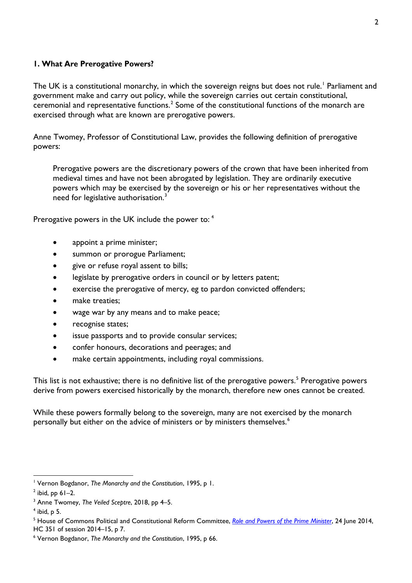#### **1. What Are Prerogative Powers?**

The UK is a constitutional monarchy, in which the sovereign reigns but does not rule.<sup>[1](#page-1-0)</sup> Parliament and government make and carry out policy, while the sovereign carries out certain constitutional, ceremonial and representative functions.<sup>[2](#page-1-1)</sup> Some of the constitutional functions of the monarch are exercised through what are known are prerogative powers.

Anne Twomey, Professor of Constitutional Law, provides the following definition of prerogative powers:

Prerogative powers are the discretionary powers of the crown that have been inherited from medieval times and have not been abrogated by legislation. They are ordinarily executive powers which may be exercised by the sovereign or his or her representatives without the need for legislative authorisation.<sup>[3](#page-1-2)</sup>

Prerogative powers in the UK include the power to: [4](#page-1-3)

- appoint a prime minister;
- summon or prorogue Parliament:
- give or refuse royal assent to bills;
- legislate by prerogative orders in council or by letters patent:
- exercise the prerogative of mercy, eg to pardon convicted offenders;
- make treaties;
- wage war by any means and to make peace;
- recognise states;
- issue passports and to provide consular services;
- confer honours, decorations and peerages; and
- make certain appointments, including royal commissions.

This list is not exhaustive; there is no definitive list of the prerogative powers.<sup>[5](#page-1-4)</sup> Prerogative powers derive from powers exercised historically by the monarch, therefore new ones cannot be created.

While these powers formally belong to the sovereign, many are not exercised by the monarch personally but either on the advice of ministers or by ministers themselves. [6](#page-1-5)

<span id="page-1-0"></span><sup>1</sup> Vernon Bogdanor, *The Monarchy and the Constitution*, 1995, p 1.

<span id="page-1-1"></span> $<sup>2</sup>$  ibid, pp 61–2.</sup>

<span id="page-1-2"></span><sup>&</sup>lt;sup>3</sup> Anne Twomey, *The Veiled Sceptre*, 2018, pp 4–5.<br><sup>4</sup> ibid. p 5.

<span id="page-1-3"></span>

<span id="page-1-4"></span><sup>5</sup> House of Commons Political and Constitutional Reform Committee, *[Role and Powers of the Prime Minister](http://www.publications.parliament.uk/pa/cm201415/cmselect/cmpolcon/351/351.pdf)*, 24 June 2014, HC 351 of session 2014–15, p 7.

<span id="page-1-5"></span><sup>6</sup> Vernon Bogdanor, *The Monarchy and the Constitution*, 1995, p 66.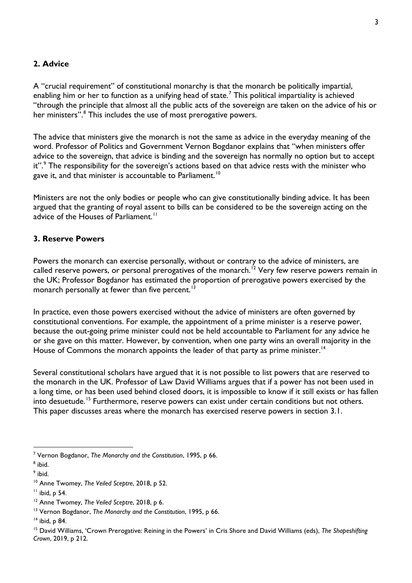#### **2. Advice**

A "crucial requirement" of constitutional monarchy is that the monarch be politically impartial, enabling him or her to function as a unifying head of state.<sup>[7](#page-2-0)</sup> This political impartiality is achieved "through the principle that almost all the public acts of the sovereign are taken on the advice of his or her ministers".<sup>[8](#page-2-1)</sup> This includes the use of most prerogative powers.

The advice that ministers give the monarch is not the same as advice in the everyday meaning of the word. Professor of Politics and Government Vernon Bogdanor explains that "when ministers offer advice to the sovereign, that advice is binding and the sovereign has normally no option but to accept it".<sup>[9](#page-2-2)</sup> The responsibility for the sovereign's actions based on that advice rests with the minister who gave it, and that minister is accountable to Parliament.  $^{\text{10}}$  $^{\text{10}}$  $^{\text{10}}$ 

Ministers are not the only bodies or people who can give constitutionally binding advice. It has been argued that the granting of royal assent to bills can be considered to be the sovereign acting on the advice of the Houses of Parliament.<sup>[11](#page-2-4)</sup>

#### **3. Reserve Powers**

Powers the monarch can exercise personally, without or contrary to the advice of ministers, are called reserve powers, or personal prerogatives of the monarch.<sup>[12](#page-2-5)</sup> Very few reserve powers remain in the UK; Professor Bogdanor has estimated the proportion of prerogative powers exercised by the monarch personally at fewer than five percent. $13$ 

In practice, even those powers exercised without the advice of ministers are often governed by constitutional conventions. For example, the appointment of a prime minister is a reserve power, because the out-going prime minister could not be held accountable to Parliament for any advice he or she gave on this matter. However, by convention, when one party wins an overall majority in the House of Commons the monarch appoints the leader of that party as prime minister.<sup>[14](#page-2-7)</sup>

Several constitutional scholars have argued that it is not possible to list powers that are reserved to the monarch in the UK. Professor of Law David Williams argues that if a power has not been used in a long time, or has been used behind closed doors, it is impossible to know if it still exists or has fallen into desuetude. [15](#page-2-8) Furthermore, reserve powers can exist under certain conditions but not others. This paper discusses areas where the monarch has exercised reserve powers in section 3.1.

<span id="page-2-0"></span><sup>7</sup> Vernon Bogdanor, *The Monarchy and the Constitution*, 1995, p 66.

<span id="page-2-1"></span> $<sup>8</sup>$  ibid.<br> $<sup>9</sup>$  ibid.</sup></sup>

<span id="page-2-2"></span>

<span id="page-2-3"></span><sup>10</sup> Anne Twomey, *The Veiled Sceptre*, 2018, p 52.

<span id="page-2-4"></span> $<sup>11</sup>$  ibid, p 54.</sup>

<span id="page-2-5"></span><sup>12</sup> Anne Twomey, *The Veiled Sceptre*, 2018, p 6.

<span id="page-2-6"></span><sup>13</sup> Vernon Bogdanor, *The Monarchy and the Constitution*, 1995, p 66.

<span id="page-2-7"></span><sup>14</sup> ibid, p 84.

<span id="page-2-8"></span><sup>15</sup> David Williams, 'Crown Prerogative: Reining in the Powers' in Cris Shore and David Williams (eds), *The Shapeshifting Crown*, 2019, p 212.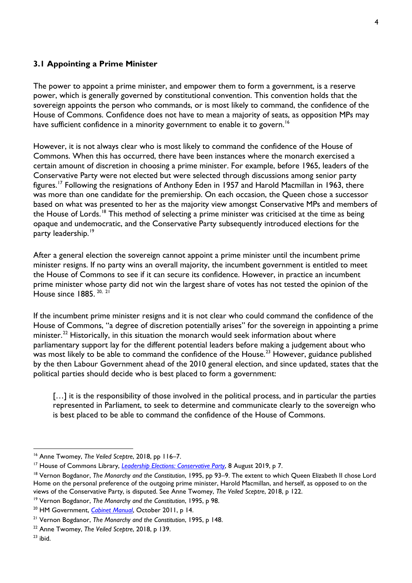#### **3.1 Appointing a Prime Minister**

The power to appoint a prime minister, and empower them to form a government, is a reserve power, which is generally governed by constitutional convention. This convention holds that the sovereign appoints the person who commands, or is most likely to command, the confidence of the House of Commons. Confidence does not have to mean a majority of seats, as opposition MPs may have sufficient confidence in a minority government to enable it to govern.<sup>16</sup>

However, it is not always clear who is most likely to command the confidence of the House of Commons. When this has occurred, there have been instances where the monarch exercised a certain amount of discretion in choosing a prime minister. For example, before 1965, leaders of the Conservative Party were not elected but were selected through discussions among senior party figures.[17](#page-3-1) Following the resignations of Anthony Eden in 1957 and Harold Macmillan in 1963, there was more than one candidate for the premiership. On each occasion, the Queen chose a successor based on what was presented to her as the majority view amongst Conservative MPs and members of the House of Lords.<sup>[18](#page-3-2)</sup> This method of selecting a prime minister was criticised at the time as being opaque and undemocratic, and the Conservative Party subsequently introduced elections for the party leadership.<sup>[19](#page-3-3)</sup>

After a general election the sovereign cannot appoint a prime minister until the incumbent prime minister resigns. If no party wins an overall majority, the incumbent government is entitled to meet the House of Commons to see if it can secure its confidence. However, in practice an incumbent prime minister whose party did not win the largest share of votes has not tested the opinion of the House since 1885.<sup>[20,](#page-3-4) [21](#page-3-5)</sup>

If the incumbent prime minister resigns and it is not clear who could command the confidence of the House of Commons, "a degree of discretion potentially arises" for the sovereign in appointing a prime minister.<sup>[22](#page-3-6)</sup> Historically, in this situation the monarch would seek information about where parliamentary support lay for the different potential leaders before making a judgement about who was most likely to be able to command the confidence of the House.<sup>[23](#page-3-7)</sup> However, guidance published by the then Labour Government ahead of the 2010 general election, and since updated, states that the political parties should decide who is best placed to form a government:

[...] it is the responsibility of those involved in the political process, and in particular the parties represented in Parliament, to seek to determine and communicate clearly to the sovereign who is best placed to be able to command the confidence of the House of Commons.

<span id="page-3-0"></span><sup>16</sup> Anne Twomey, *The Veiled Sceptre*, 2018, pp 116–7.

<span id="page-3-2"></span><span id="page-3-1"></span><sup>&</sup>lt;sup>17</sup> House of Commons Library[,](http://researchbriefings.files.parliament.uk/documents/SN01366/SN01366.pdf) <u>Leadership Elections: Conservative Party</u>, 8 August 2019, p 7.<br><sup>18</sup> Vernon Bogdanor, *The Monarchy and the Constitution*, 1995, pp 93–9. The extent to which Queen Elizabeth II chose Lord Home on the personal preference of the outgoing prime minister, Harold Macmillan, and herself, as opposed to on the views of the Conservative Party, is disputed. See Anne Twomey, *The Veiled Sceptre*, 2018, p 122.

<span id="page-3-3"></span><sup>19</sup> Vernon Bogdanor, *The Monarchy and the Constitution*, 1995, p 98.

<span id="page-3-4"></span><sup>20</sup> HM Government, *[Cabinet Manual](https://www.gov.uk/government/uploads/system/uploads/attachment_data/file/60641/cabinet-manual.pdf)*, October 2011, p 14.

<span id="page-3-5"></span><sup>21</sup> Vernon Bogdanor, *The Monarchy and the Constitution*, 1995, p 148.

<span id="page-3-6"></span><sup>22</sup> Anne Twomey, *The Veiled Sceptre*, 2018, p 139.

<span id="page-3-7"></span> $23$  ibid.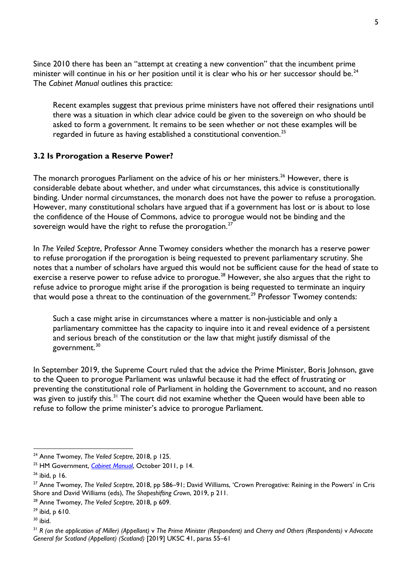Since 2010 there has been an "attempt at creating a new convention" that the incumbent prime minister will continue in his or her position until it is clear who his or her successor should be.<sup>[24](#page-4-0)</sup> The *Cabinet Manual* outlines this practice:

Recent examples suggest that previous prime ministers have not offered their resignations until there was a situation in which clear advice could be given to the sovereign on who should be asked to form a government. It remains to be seen whether or not these examples will be regarded in future as having established a constitutional convention.[25](#page-4-1)

# **3.2 Is Prorogation a Reserve Power?**

The monarch prorogues Parliament on the advice of his or her ministers.<sup>[26](#page-4-2)</sup> However, there is considerable debate about whether, and under what circumstances, this advice is constitutionally binding. Under normal circumstances, the monarch does not have the power to refuse a prorogation. However, many constitutional scholars have argued that if a government has lost or is about to lose the confidence of the House of Commons, advice to prorogue would not be binding and the sovereign would have the right to refuse the prorogation.<sup>[27](#page-4-3)</sup>

In *The Veiled Sceptre*, Professor Anne Twomey considers whether the monarch has a reserve power to refuse prorogation if the prorogation is being requested to prevent parliamentary scrutiny. She notes that a number of scholars have argued this would not be sufficient cause for the head of state to exercise a reserve power to refuse advice to prorogue.<sup>[28](#page-4-4)</sup> However, she also argues that the right to refuse advice to prorogue might arise if the prorogation is being requested to terminate an inquiry that would pose a threat to the continuation of the government.<sup>[29](#page-4-5)</sup> Professor Twomey contends:

Such a case might arise in circumstances where a matter is non-justiciable and only a parliamentary committee has the capacity to inquire into it and reveal evidence of a persistent and serious breach of the constitution or the law that might justify dismissal of the government.<sup>[30](#page-4-6)</sup>

In September 2019, the Supreme Court ruled that the advice the Prime Minister, Boris Johnson, gave to the Queen to prorogue Parliament was unlawful because it had the effect of frustrating or preventing the constitutional role of Parliament in holding the Government to account, and no reason was given to justify this. $^{\text{31}}$  $^{\text{31}}$  $^{\text{31}}$  The court did not examine whether the Queen would have been able to refuse to follow the prime minister's advice to prorogue Parliament.

<span id="page-4-0"></span> <sup>24</sup> Anne Twomey, *The Veiled Sceptre*, 2018, p 125.

<span id="page-4-1"></span><sup>25</sup> HM Government, *[Cabinet Manual](https://www.gov.uk/government/uploads/system/uploads/attachment_data/file/60641/cabinet-manual.pdf)*, October 2011, p 14.

<span id="page-4-2"></span><sup>26</sup> ibid, p 16.

<span id="page-4-3"></span><sup>27</sup> Anne Twomey, *The Veiled Sceptre*, 2018, pp 586–91; David Williams, 'Crown Prerogative: Reining in the Powers' in Cris Shore and David Williams (eds), *The Shapeshifting Crown*, 2019, p 211.

<span id="page-4-4"></span><sup>28</sup> Anne Twomey, *The Veiled Sceptre*, 2018, p 609.

<span id="page-4-5"></span> $29$  ibid, p 610.

<span id="page-4-6"></span> $30$  ibid.

<span id="page-4-7"></span><sup>31</sup> *R (on the application of Miller) (Appellant)* v *The Prime Minister (Respondent)* and *Cherry and Others (Respondents)* v *Advocate General for Scotland (Appellant) (Scotland)* [2019] UKSC 41, paras 55–61